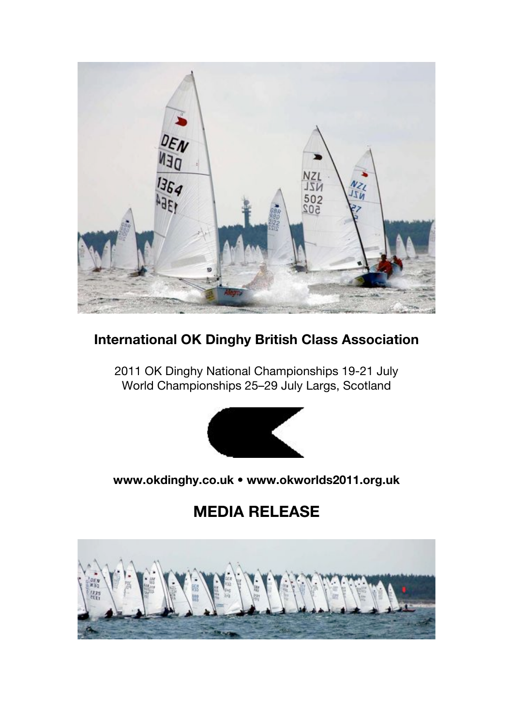

# **International OK Dinghy British Class Association**

2011 OK Dinghy National Championships 19-21 July World Championships 25–29 July Largs, Scotland



# **www.okdinghy.co.uk • www.okworlds2011.org.uk**

# **MEDIA RELEASE**

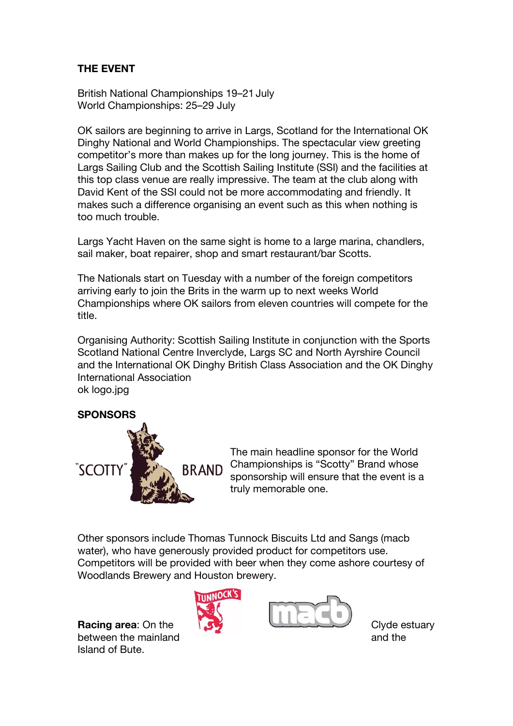## **THE EVENT**

British National Championships 19–21 July World Championships: 25–29 July

OK sailors are beginning to arrive in Largs, Scotland for the International OK Dinghy National and World Championships. The spectacular view greeting competitor's more than makes up for the long journey. This is the home of Largs Sailing Club and the Scottish Sailing Institute (SSI) and the facilities at this top class venue are really impressive. The team at the club along with David Kent of the SSI could not be more accommodating and friendly. It makes such a difference organising an event such as this when nothing is too much trouble.

Largs Yacht Haven on the same sight is home to a large marina, chandlers, sail maker, boat repairer, shop and smart restaurant/bar Scotts.

The Nationals start on Tuesday with a number of the foreign competitors arriving early to join the Brits in the warm up to next weeks World Championships where OK sailors from eleven countries will compete for the title.

Organising Authority: Scottish Sailing Institute in conjunction with the Sports Scotland National Centre Inverclyde, Largs SC and North Ayrshire Council and the International OK Dinghy British Class Association and the OK Dinghy International Association ok logo.jpg

### **SPONSORS**



The main headline sponsor for the World Championships is "Scotty" Brand whose sponsorship will ensure that the event is a truly memorable one.

Other sponsors include Thomas Tunnock Biscuits Ltd and Sangs (macb water), who have generously provided product for competitors use. Competitors will be provided with beer when they come ashore courtesy of Woodlands Brewery and Houston brewery.

between the mainland  $\overline{a}$  and the mainland Island of Bute.



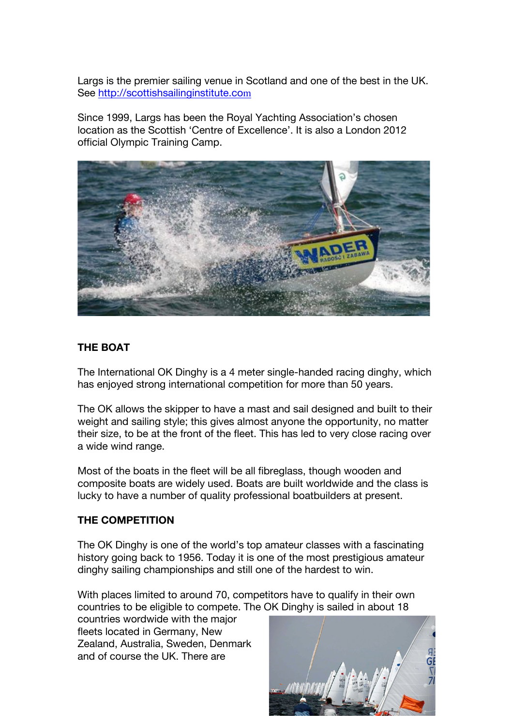Largs is the premier sailing venue in Scotland and one of the best in the UK. See http://scottishsailinginstitute.com

Since 1999, Largs has been the Royal Yachting Association's chosen location as the Scottish 'Centre of Excellence'. It is also a London 2012 official Olympic Training Camp.



#### **THE BOAT**

The International OK Dinghy is a 4 meter single-handed racing dinghy, which has enjoyed strong international competition for more than 50 years.

The OK allows the skipper to have a mast and sail designed and built to their weight and sailing style; this gives almost anyone the opportunity, no matter their size, to be at the front of the fleet. This has led to very close racing over a wide wind range.

Most of the boats in the fleet will be all fibreglass, though wooden and composite boats are widely used. Boats are built worldwide and the class is lucky to have a number of quality professional boatbuilders at present.

#### **THE COMPETITION**

The OK Dinghy is one of the world's top amateur classes with a fascinating history going back to 1956. Today it is one of the most prestigious amateur dinghy sailing championships and still one of the hardest to win.

With places limited to around 70, competitors have to qualify in their own countries to be eligible to compete. The OK Dinghy is sailed in about 18

countries wordwide with the major fleets located in Germany, New Zealand, Australia, Sweden, Denmark and of course the UK. There are

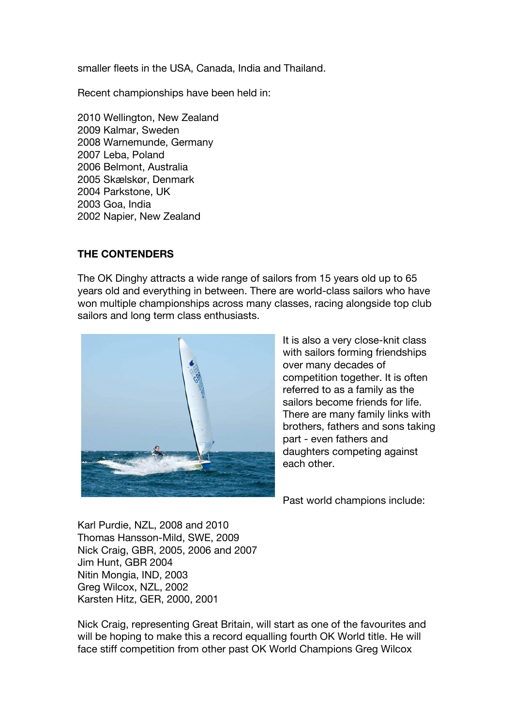smaller fleets in the USA, Canada, India and Thailand.

Recent championships have been held in:

2010 Wellington, New Zealand 2009 Kalmar, Sweden 2008 Warnemunde, Germany 2007 Leba, Poland 2006 Belmont, Australia 2005 Skælskør, Denmark 2004 Parkstone, UK 2003 Goa, India 2002 Napier, New Zealand

#### **THE CONTENDERS**

The OK Dinghy attracts a wide range of sailors from 15 years old up to 65 years old and everything in between. There are world-class sailors who have won multiple championships across many classes, racing alongside top club sailors and long term class enthusiasts.



It is also a very close-knit class with sailors forming friendships over many decades of competition together. It is often referred to as a family as the sailors become friends for life. There are many family links with brothers, fathers and sons taking part - even fathers and daughters competing against each other.

Past world champions include:

Karl Purdie, NZL, 2008 and 2010 Thomas Hansson-Mild, SWE, 2009 Nick Craig, GBR, 2005, 2006 and 2007 Jim Hunt, GBR 2004 Nitin Mongia, IND, 2003 Greg Wilcox, NZL, 2002 Karsten Hitz, GER, 2000, 2001

Nick Craig, representing Great Britain, will start as one of the favourites and will be hoping to make this a record equalling fourth OK World title. He will face stiff competition from other past OK World Champions Greg Wilcox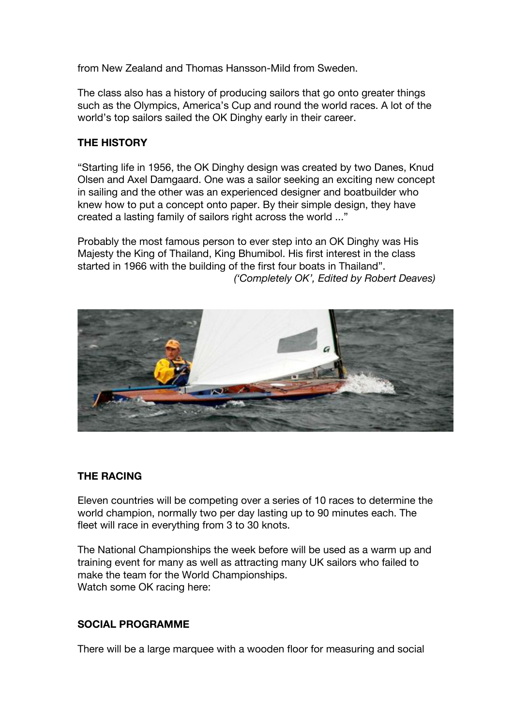from New Zealand and Thomas Hansson-Mild from Sweden.

The class also has a history of producing sailors that go onto greater things such as the Olympics, America's Cup and round the world races. A lot of the world's top sailors sailed the OK Dinghy early in their career.

#### **THE HISTORY**

"Starting life in 1956, the OK Dinghy design was created by two Danes, Knud Olsen and Axel Damgaard. One was a sailor seeking an exciting new concept in sailing and the other was an experienced designer and boatbuilder who knew how to put a concept onto paper. By their simple design, they have created a lasting family of sailors right across the world ..."

Probably the most famous person to ever step into an OK Dinghy was His Majesty the King of Thailand, King Bhumibol. His first interest in the class started in 1966 with the building of the first four boats in Thailand". *('Completely OK', Edited by Robert Deaves)*



### **THE RACING**

Eleven countries will be competing over a series of 10 races to determine the world champion, normally two per day lasting up to 90 minutes each. The fleet will race in everything from 3 to 30 knots.

The National Championships the week before will be used as a warm up and training event for many as well as attracting many UK sailors who failed to make the team for the World Championships. Watch some OK racing here:

#### **SOCIAL PROGRAMME**

There will be a large marquee with a wooden floor for measuring and social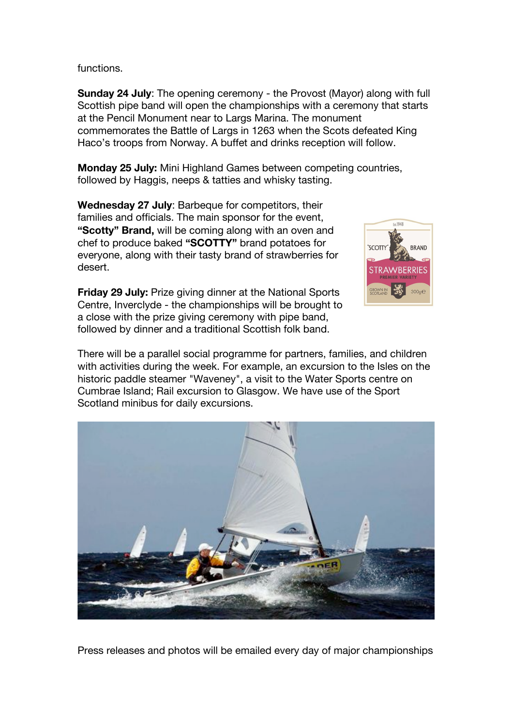functions.

**Sunday 24 July:** The opening ceremony - the Provost (Mayor) along with full Scottish pipe band will open the championships with a ceremony that starts at the Pencil Monument near to Largs Marina. The monument commemorates the Battle of Largs in 1263 when the Scots defeated King Haco's troops from Norway. A buffet and drinks reception will follow.

**Monday 25 July:** Mini Highland Games between competing countries, followed by Haggis, neeps & tatties and whisky tasting.

**Wednesday 27 July**: Barbeque for competitors, their families and officials. The main sponsor for the event, **"Scotty" Brand,** will be coming along with an oven and chef to produce baked **"SCOTTY"** brand potatoes for everyone, along with their tasty brand of strawberries for desert.



**Friday 29 July:** Prize giving dinner at the National Sports Centre, Inverclyde - the championships will be brought to a close with the prize giving ceremony with pipe band, followed by dinner and a traditional Scottish folk band.

There will be a parallel social programme for partners, families, and children with activities during the week. For example, an excursion to the Isles on the historic paddle steamer "Waveney", a visit to the Water Sports centre on Cumbrae Island; Rail excursion to Glasgow. We have use of the Sport Scotland minibus for daily excursions.



Press releases and photos will be emailed every day of major championships